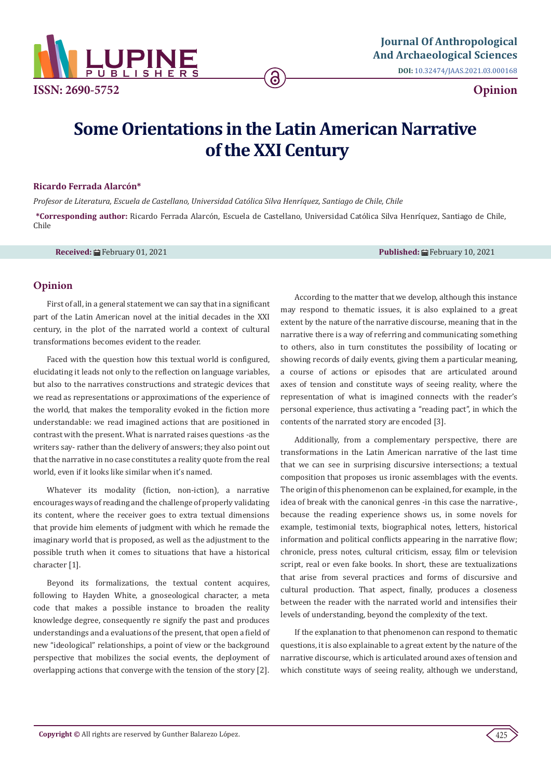

**DOI:** [10.32474/JAAS.2021.03.000168](http://dx.doi.org/10.32474/JAAS.2021.03.000168)

## **Opinion**

# **Some Orientations in the Latin American Narrative of the XXI Century**

6

#### **Ricardo Ferrada Alarcón\***

*Profesor de Literatura, Escuela de Castellano, Universidad Católica Silva Henríquez, Santiago de Chile, Chile* **\*Corresponding author:** Ricardo Ferrada Alarcón, Escuela de Castellano, Universidad Católica Silva Henríquez, Santiago de Chile, Chile

**Received:** ■ February 01, 2021 **Published:** ■ February 10, 2021

#### **Opinion**

First of all, in a general statement we can say that in a significant part of the Latin American novel at the initial decades in the XXI century, in the plot of the narrated world a context of cultural transformations becomes evident to the reader.

Faced with the question how this textual world is configured, elucidating it leads not only to the reflection on language variables, but also to the narratives constructions and strategic devices that we read as representations or approximations of the experience of the world, that makes the temporality evoked in the fiction more understandable: we read imagined actions that are positioned in contrast with the present. What is narrated raises questions -as the writers say- rather than the delivery of answers; they also point out that the narrative in no case constitutes a reality quote from the real world, even if it looks like similar when it's named.

Whatever its modality (fiction, non-iction), a narrative encourages ways of reading and the challenge of properly validating its content, where the receiver goes to extra textual dimensions that provide him elements of judgment with which he remade the imaginary world that is proposed, as well as the adjustment to the possible truth when it comes to situations that have a historical character [1].

Beyond its formalizations, the textual content acquires, following to Hayden White, a gnoseological character, a meta code that makes a possible instance to broaden the reality knowledge degree, consequently re signify the past and produces understandings and a evaluations of the present, that open a field of new "ideological" relationships, a point of view or the background perspective that mobilizes the social events, the deployment of overlapping actions that converge with the tension of the story [2].

According to the matter that we develop, although this instance may respond to thematic issues, it is also explained to a great extent by the nature of the narrative discourse, meaning that in the narrative there is a way of referring and communicating something to others, also in turn constitutes the possibility of locating or showing records of daily events, giving them a particular meaning, a course of actions or episodes that are articulated around axes of tension and constitute ways of seeing reality, where the representation of what is imagined connects with the reader's personal experience, thus activating a "reading pact", in which the contents of the narrated story are encoded [3].

Additionally, from a complementary perspective, there are transformations in the Latin American narrative of the last time that we can see in surprising discursive intersections; a textual composition that proposes us ironic assemblages with the events. The origin of this phenomenon can be explained, for example, in the idea of break with the canonical genres -in this case the narrative-, because the reading experience shows us, in some novels for example, testimonial texts, biographical notes, letters, historical information and political conflicts appearing in the narrative flow; chronicle, press notes, cultural criticism, essay, film or television script, real or even fake books. In short, these are textualizations that arise from several practices and forms of discursive and cultural production. That aspect, finally, produces a closeness between the reader with the narrated world and intensifies their levels of understanding, beyond the complexity of the text.

If the explanation to that phenomenon can respond to thematic questions, it is also explainable to a great extent by the nature of the narrative discourse, which is articulated around axes of tension and which constitute ways of seeing reality, although we understand,